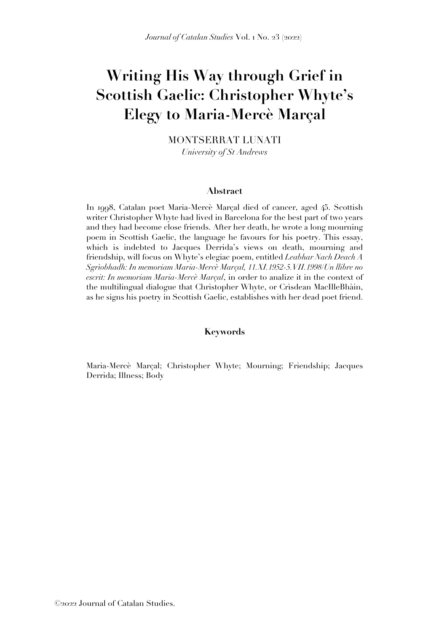# **Writing His Way through Grief in Scottish Gaelic: Christopher Whyte's Elegy to Maria-Mercè Marçal**

MONTSERRAT LUNATI *University of St Andrews*

#### **Abstract**

In 1998, Catalan poet Maria-Mercè Marçal died of cancer, aged 45. Scottish writer Christopher Whyte had lived in Barcelona for the best part of two years and they had become close friends. After her death, he wrote a long mourning poem in Scottish Gaelic, the language he favours for his poetry. This essay, which is indebted to Jacques Derrida's views on death, mourning and friendship, will focus on Whyte's elegiac poem, entitled *Leabhar Nach Deach A Sgrìobhadh: In memoriam Maria-Mercè Marçal, 11.XI.1952-5.VII.1998*/*Un llibre no escrit: In memoriam Maria-Mercè Marçal*, in order to analize it in the context of the multilingual dialogue that Christopher Whyte, or Crìsdean MacIlleBhàin, as he signs his poetry in Scottish Gaelic, establishes with her dead poet friend.

#### **Keywords**

Maria-Mercè Marçal; Christopher Whyte; Mourning; Friendship; Jacques Derrida; Illness; Body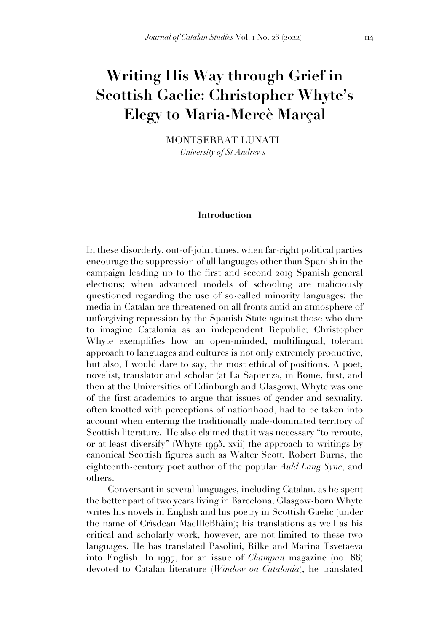# **Writing His Way through Grief in Scottish Gaelic: Christopher Whyte's Elegy to Maria-Mercè Marçal**

MONTSERRAT LUNATI *University of St Andrews*

#### **Introduction**

In these disorderly, out-of-joint times, when far-right political parties encourage the suppression of all languages other than Spanish in the campaign leading up to the first and second 2019 Spanish general elections; when advanced models of schooling are maliciously questioned regarding the use of so-called minority languages; the media in Catalan are threatened on all fronts amid an atmosphere of unforgiving repression by the Spanish State against those who dare to imagine Catalonia as an independent Republic; Christopher Whyte exemplifies how an open-minded, multilingual, tolerant approach to languages and cultures is not only extremely productive, but also, I would dare to say, the most ethical of positions. A poet, novelist, translator and scholar (at La Sapienza, in Rome, first, and then at the Universities of Edinburgh and Glasgow), Whyte was one of the first academics to argue that issues of gender and sexuality, often knotted with perceptions of nationhood, had to be taken into account when entering the traditionally male-dominated territory of Scottish literature. He also claimed that it was necessary "to reroute, or at least diversify" (Whyte 1995, xvii) the approach to writings by canonical Scottish figures such as Walter Scott, Robert Burns, the eighteenth-century poet author of the popular *Auld Lang Syne*, and others.

Conversant in several languages, including Catalan, as he spent the better part of two years living in Barcelona, Glasgow-born Whyte writes his novels in English and his poetry in Scottish Gaelic (under the name of Crìsdean MacIlleBhàin); his translations as well as his critical and scholarly work, however, are not limited to these two languages. He has translated Pasolini, Rilke and Marina Tsvetaeva into English. In 1997, for an issue of *Champan* magazine (no. 88) devoted to Catalan literature (*Window on Catalonia*), he translated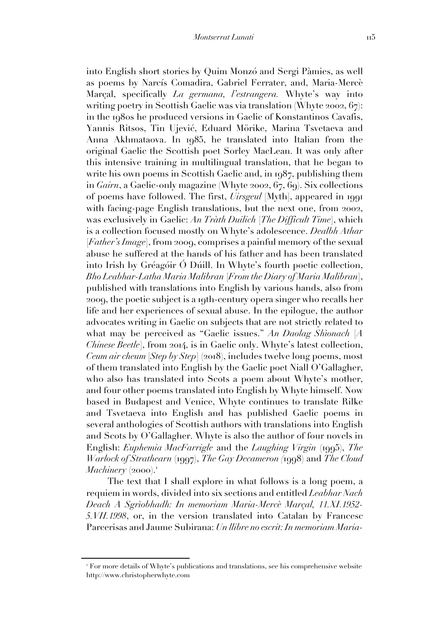into English short stories by Quim Monzó and Sergi Pàmies, as well as poems by Narcís Comadira, Gabriel Ferrater, and, Maria-Mercè Marçal, specifically *La germana, l'estrangera.* Whyte's way into writing poetry in Scottish Gaelic was via translation (Whyte 2002, 67): in the 1980s he produced versions in Gaelic of Konstantinos Cavafis, Yannis Ritsos, Tin Ujević, Eduard Mörike, Marina Tsvetaeva and Anna Akhmataova. In 1985, he translated into Italian from the original Gaelic the Scottish poet Sorley MacLean. It was only after this intensive training in multilingual translation, that he began to write his own poems in Scottish Gaelic and, in 1987, publishing them in *Gairn*, a Gaelic-only magazine (Whyte 2002, 67, 69). Six collections of poems have followed. The first, *Uirsgeul* [Myth], appeared in 1991 with facing-page English translations, but the next one, from 2002, was exclusively in Gaelic: *An Tràth Duilich* [*The Difficult Time*], which is a collection focused mostly on Whyte's adolescence. *Dealbh Athar* [*Father's Image*], from 2009, comprises a painful memory of the sexual abuse he suffered at the hands of his father and has been translated into Irish by Gréagóir Ó Dúill. In Whyte's fourth poetic collection, *Bho Leabhar-Latha Maria Malibran* [*From the Diary of Maria Malibran*], published with translations into English by various hands, also from 2009, the poetic subject is a 19th-century opera singer who recalls her life and her experiences of sexual abuse. In the epilogue, the author advocates writing in Gaelic on subjects that are not strictly related to what may be perceived as "Gaelic issues." *An Daolag Shìonach* [*A Chinese Beetle*], from 2014, is in Gaelic only. Whyte's latest collection, *Ceum air cheum [Step by Step]* (2018), includes twelve long poems, most of them translated into English by the Gaelic poet Niall O'Gallagher, who also has translated into Scots a poem about Whyte's mother, and four other poems translated into English by Whyte himself. Now based in Budapest and Venice, Whyte continues to translate Rilke and Tsvetaeva into English and has published Gaelic poems in several anthologies of Scottish authors with translations into English and Scots by O'Gallagher. Whyte is also the author of four novels in English: *Euphemia MacFarrigle* and the *Laughing Virgin* (1995), *The Warlock of Strathearn* (1997), *The Gay Decameron (*1998) and *The Cloud Machinery*  $(2000).$ <sup>1</sup>

The text that I shall explore in what follows is a long poem, a requiem in words, divided into six sections and entitled *Leabhar Nach Deach A Sgrìobhadh: In memoriam Maria-Mercè Marçal, 11.XI.1952- 5.VII.1998*, or, in the version translated into Catalan by Francesc Parcerisas and Jaume Subirana: *Un llibre no escrit: In memoriam Maria-*

<sup>1</sup> For more details of Whyte's publications and translations, see his comprehensive website http://www.christopherwhyte.com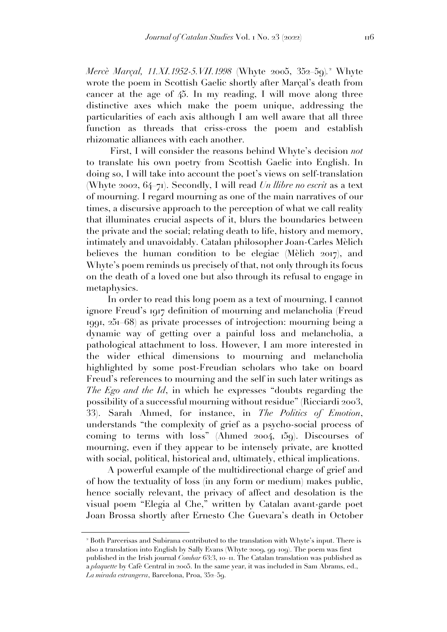*Mercè Marçal, 11.XI.1952-5.VII.1998* (Whyte 2005, 352–59)*.* <sup>2</sup> Whyte wrote the poem in Scottish Gaelic shortly after Marçal's death from cancer at the age of 45. In my reading, I will move along three distinctive axes which make the poem unique, addressing the particularities of each axis although I am well aware that all three function as threads that criss-cross the poem and establish rhizomatic alliances with each another.

First, I will consider the reasons behind Whyte's decision *not* to translate his own poetry from Scottish Gaelic into English. In doing so, I will take into account the poet's views on self-translation (Whyte 2002, 64–71). Secondly, I will read *Un llibre no escrit* as a text of mourning. I regard mourning as one of the main narratives of our times, a discursive approach to the perception of what we call reality that illuminates crucial aspects of it, blurs the boundaries between the private and the social; relating death to life, history and memory, intimately and unavoidably. Catalan philosopher Joan-Carles Mèlich believes the human condition to be elegiac (Mèlich 2017), and Whyte's poem reminds us precisely of that, not only through its focus on the death of a loved one but also through its refusal to engage in metaphysics.

In order to read this long poem as a text of mourning, I cannot ignore Freud's 1917 definition of mourning and melancholia (Freud 1991, 251–68) as private processes of introjection: mourning being a dynamic way of getting over a painful loss and melancholia, a pathological attachment to loss. However, I am more interested in the wider ethical dimensions to mourning and melancholia highlighted by some post-Freudian scholars who take on board Freud's references to mourning and the self in such later writings as *The Ego and the Id*, in which he expresses "doubts regarding the possibility of a successful mourning without residue" (Ricciardi 2003, 33). Sarah Ahmed, for instance, in *The Politics of Emotion*, understands "the complexity of grief as a psycho-social process of coming to terms with loss" (Ahmed 2004, 159). Discourses of mourning, even if they appear to be intensely private, are knotted with social, political, historical and, ultimately, ethical implications.

A powerful example of the multidirectional charge of grief and of how the textuality of loss (in any form or medium) makes public, hence socially relevant, the privacy of affect and desolation is the visual poem "Elegia al Che," written by Catalan avant-garde poet Joan Brossa shortly after Ernesto Che Guevara's death in October

<sup>2</sup> Both Parcerisas and Subirana contributed to the translation with Whyte's input. There is also a translation into English by Sally Evans (Whyte 2009, 99–109). The poem was first published in the Irish journal *Comhar* 63:3, 10–11. The Catalan translation was published as a *plaquette* by Cafè Central in 2005. In the same year, it was included in Sam Abrams, ed., *La mirada estrangera*, Barcelona, Proa, 352–59.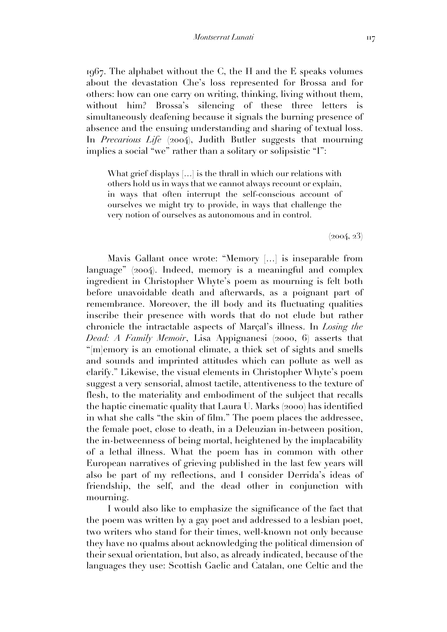1967. The alphabet without the C, the H and the E speaks volumes about the devastation Che's loss represented for Brossa and for others: how can one carry on writing, thinking, living without them, without him? Brossa's silencing of these three letters is simultaneously deafening because it signals the burning presence of absence and the ensuing understanding and sharing of textual loss. In *Precarious Life* (2004), Judith Butler suggests that mourning implies a social "we" rather than a solitary or solipsistic "I":

What grief displays [...] is the thrall in which our relations with others hold us in ways that we cannot always recount or explain, in ways that often interrupt the self-conscious account of ourselves we might try to provide, in ways that challenge the very notion of ourselves as autonomous and in control.

 $(2004, 23)$ 

Mavis Gallant once wrote: "Memory […] is inseparable from language" (2004). Indeed, memory is a meaningful and complex ingredient in Christopher Whyte's poem as mourning is felt both before unavoidable death and afterwards, as a poignant part of remembrance. Moreover, the ill body and its fluctuating qualities inscribe their presence with words that do not elude but rather chronicle the intractable aspects of Marçal's illness. In *Losing the Dead: A Family Memoir*, Lisa Appignanesi (2000, 6) asserts that "[m]emory is an emotional climate, a thick set of sights and smells and sounds and imprinted attitudes which can pollute as well as clarify." Likewise, the visual elements in Christopher Whyte's poem suggest a very sensorial, almost tactile, attentiveness to the texture of flesh, to the materiality and embodiment of the subject that recalls the haptic cinematic quality that Laura U. Marks (2000) has identified in what she calls "the skin of film." The poem places the addressee, the female poet, close to death, in a Deleuzian in-between position, the in-betweenness of being mortal, heightened by the implacability of a lethal illness. What the poem has in common with other European narratives of grieving published in the last few years will also be part of my reflections, and I consider Derrida's ideas of friendship, the self, and the dead other in conjunction with mourning.

I would also like to emphasize the significance of the fact that the poem was written by a gay poet and addressed to a lesbian poet, two writers who stand for their times, well-known not only because they have no qualms about acknowledging the political dimension of their sexual orientation, but also, as already indicated, because of the languages they use: Scottish Gaelic and Catalan, one Celtic and the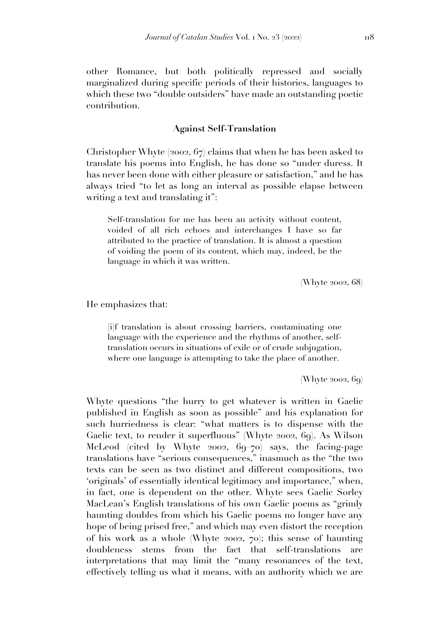other Romance, but both politically repressed and socially marginalized during specific periods of their histories, languages to which these two "double outsiders" have made an outstanding poetic contribution.

## **Against Self-Translation**

Christopher Whyte (2002, 67) claims that when he has been asked to translate his poems into English, he has done so "under duress. It has never been done with either pleasure or satisfaction," and he has always tried "to let as long an interval as possible elapse between writing a text and translating it":

Self-translation for me has been an activity without content, voided of all rich echoes and interchanges I have so far attributed to the practice of translation. It is almost a question of voiding the poem of its content, which may, indeed, be the language in which it was written.

(Whyte 2002, 68)

He emphasizes that:

[i]f translation is about crossing barriers, contaminating one language with the experience and the rhythms of another, selftranslation occurs in situations of exile or of crude subjugation, where one language is attempting to take the place of another.

(Whyte  $2002, 69$ )

Whyte questions "the hurry to get whatever is written in Gaelic published in English as soon as possible" and his explanation for such hurriedness is clear: "what matters is to dispense with the Gaelic text, to render it superfluous" (Whyte 2002, 69). As Wilson McLeod (cited by Whyte 2002, 69–70) says, the facing-page translations have "serious consequences," inasmuch as the "the two texts can be seen as two distinct and different compositions, two 'originals' of essentially identical legitimacy and importance," when, in fact, one is dependent on the other. Whyte sees Gaelic Sorley MacLean's English translations of his own Gaelic poems as "grimly haunting doubles from which his Gaelic poems no longer have any hope of being prised free," and which may even distort the reception of his work as a whole (Whyte 2002, 70); this sense of haunting doubleness stems from the fact that self-translations are interpretations that may limit the "many resonances of the text, effectively telling us what it means, with an authority which we are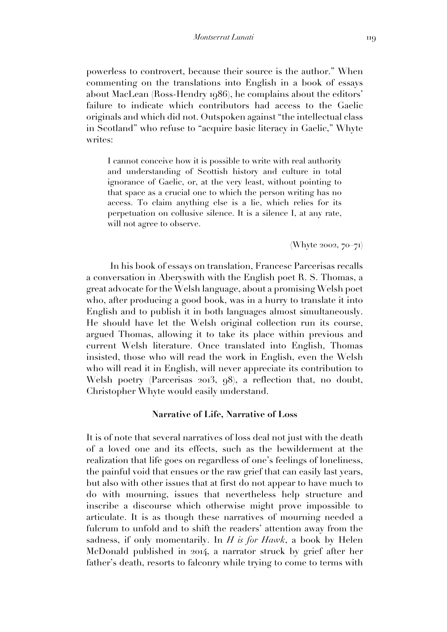powerless to controvert, because their source is the author." When commenting on the translations into English in a book of essays about MacLean (Ross-Hendry 1986), he complains about the editors' failure to indicate which contributors had access to the Gaelic originals and which did not. Outspoken against "the intellectual class in Scotland" who refuse to "acquire basic literacy in Gaelic," Whyte writes:

I cannot conceive how it is possible to write with real authority and understanding of Scottish history and culture in total ignorance of Gaelic, or, at the very least, without pointing to that space as a crucial one to which the person writing has no access. To claim anything else is a lie, which relies for its perpetuation on collusive silence. It is a silence I, at any rate, will not agree to observe.

(Whyte 2002, 70–71)

In his book of essays on translation, Francesc Parcerisas recalls a conversation in Aberyswith with the English poet R. S. Thomas, a great advocate for the Welsh language, about a promising Welsh poet who, after producing a good book, was in a hurry to translate it into English and to publish it in both languages almost simultaneously. He should have let the Welsh original collection run its course, argued Thomas, allowing it to take its place within previous and current Welsh literature. Once translated into English, Thomas insisted, those who will read the work in English, even the Welsh who will read it in English, will never appreciate its contribution to Welsh poetry (Parcerisas 2013, 98), a reflection that, no doubt, Christopher Whyte would easily understand.

### **Narrative of Life, Narrative of Loss**

It is of note that several narratives of loss deal not just with the death of a loved one and its effects, such as the bewilderment at the realization that life goes on regardless of one's feelings of loneliness, the painful void that ensues or the raw grief that can easily last years, but also with other issues that at first do not appear to have much to do with mourning, issues that nevertheless help structure and inscribe a discourse which otherwise might prove impossible to articulate. It is as though these narratives of mourning needed a fulcrum to unfold and to shift the readers' attention away from the sadness, if only momentarily. In *H is for Hawk*, a book by Helen McDonald published in 2014, a narrator struck by grief after her father's death, resorts to falconry while trying to come to terms with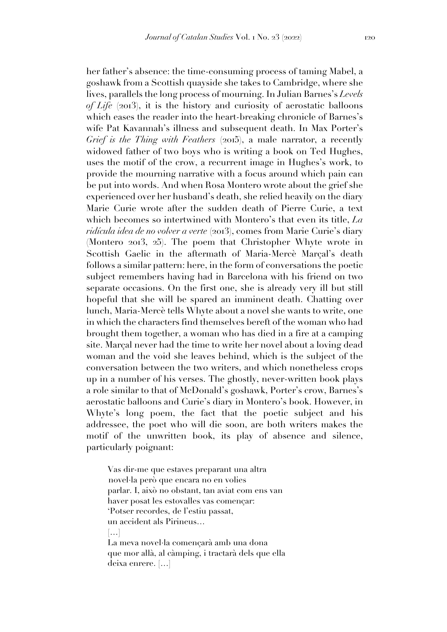her father's absence: the time-consuming process of taming Mabel, a goshawk from a Scottish quayside she takes to Cambridge, where she lives, parallels the long process of mourning. In Julian Barnes's *Levels of Life* (2013), it is the history and curiosity of aerostatic balloons which eases the reader into the heart-breaking chronicle of Barnes's wife Pat Kavannah's illness and subsequent death. In Max Porter's *Grief is the Thing with Feathers* (2015), a male narrator, a recently widowed father of two boys who is writing a book on Ted Hughes, uses the motif of the crow, a recurrent image in Hughes's work, to provide the mourning narrative with a focus around which pain can be put into words. And when Rosa Montero wrote about the grief she experienced over her husband's death, she relied heavily on the diary Marie Curie wrote after the sudden death of Pierre Curie, a text which becomes so intertwined with Montero's that even its title, *La ridícula idea de no volver a verte* (2013), comes from Marie Curie's diary (Montero 2013, 25). The poem that Christopher Whyte wrote in Scottish Gaelic in the aftermath of Maria-Mercè Marçal's death follows a similar pattern: here, in the form of conversations the poetic subject remembers having had in Barcelona with his friend on two separate occasions. On the first one, she is already very ill but still hopeful that she will be spared an imminent death. Chatting over lunch, Maria-Mercè tells Whyte about a novel she wants to write, one in which the characters find themselves bereft of the woman who had brought them together, a woman who has died in a fire at a camping site. Marçal never had the time to write her novel about a loving dead woman and the void she leaves behind, which is the subject of the conversation between the two writers, and which nonetheless crops up in a number of his verses. The ghostly, never-written book plays a role similar to that of McDonald's goshawk, Porter's crow, Barnes's aerostatic balloons and Curie's diary in Montero's book. However, in Whyte's long poem, the fact that the poetic subject and his addressee, the poet who will die soon, are both writers makes the motif of the unwritten book, its play of absence and silence, particularly poignant:

Vas dir-me que estaves preparant una altra novel·la però que encara no en volies parlar. I, això no obstant, tan aviat com ens van haver posat les estovalles vas començar: 'Potser recordes, de l'estiu passat, un accident als Pirineus…  $[...]$ La meva novel·la començarà amb una dona que mor allà, al càmping, i tractarà dels que ella deixa enrere. […]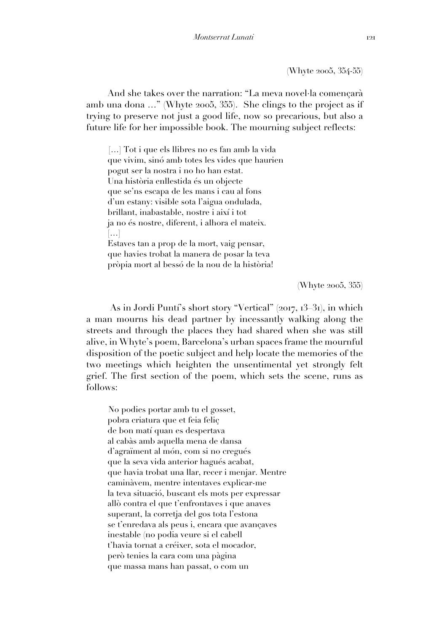(Whyte 2005, 354-55)

And she takes over the narration: "La meva novel·la començarà amb una dona …" (Whyte 2005, 355). She clings to the project as if trying to preserve not just a good life, now so precarious, but also a future life for her impossible book. The mourning subject reflects:

[...] Tot i que els llibres no es fan amb la vida que vivim, sinó amb totes les vides que haurien pogut ser la nostra i no ho han estat. Una història enllestida és un objecte que se'ns escapa de les mans i cau al fons d'un estany: visible sota l'aigua ondulada, brillant, inabastable, nostre i així i tot ja no és nostre, diferent, i alhora el mateix. […] Estaves tan a prop de la mort, vaig pensar, que havies trobat la manera de posar la teva pròpia mort al bessó de la nou de la història!

(Whyte 2005, 355)

As in Jordi Puntí's short story "Vertical" (2017, 13–31), in which a man mourns his dead partner by incessantly walking along the streets and through the places they had shared when she was still alive, in Whyte's poem, Barcelona's urban spaces frame the mournful disposition of the poetic subject and help locate the memories of the two meetings which heighten the unsentimental yet strongly felt grief. The first section of the poem, which sets the scene, runs as follows:

No podies portar amb tu el gosset, pobra criatura que et feia feliç de bon matí quan es despertava al cabàs amb aquella mena de dansa d'agraïment al món, com si no cregués que la seva vida anterior hagués acabat, que havia trobat una llar, recer i menjar. Mentre caminàvem, mentre intentaves explicar-me la teva situació, buscant els mots per expressar allò contra el que t'enfrontaves i que anaves superant, la corretja del gos tota l'estona se t'enredava als peus i, encara que avançaves inestable (no podia veure si el cabell t'havia tornat a créixer, sota el mocador, però tenies la cara com una pàgina que massa mans han passat, o com un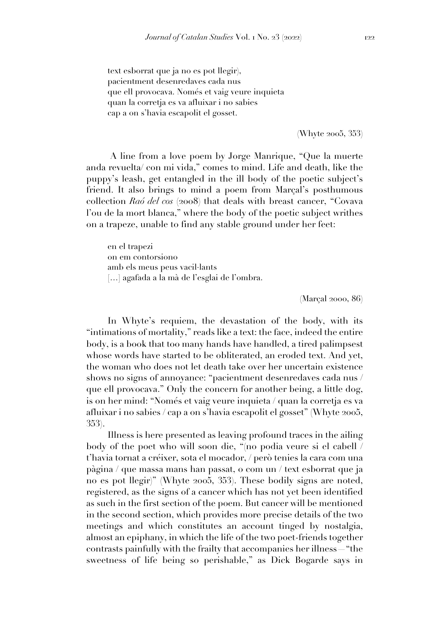text esborrat que ja no es pot llegir), pacientment desenredaves cada nus que ell provocava. Només et vaig veure inquieta quan la corretja es va afluixar i no sabies cap a on s'havia escapolit el gosset.

(Whyte 2005, 353)

A line from a love poem by Jorge Manrique, "Que la muerte anda revuelta/ con mi vida," comes to mind. Life and death, like the puppy's leash, get entangled in the ill body of the poetic subject's friend. It also brings to mind a poem from Marçal's posthumous collection *Raó del cos* (2008) that deals with breast cancer, "Covava l'ou de la mort blanca," where the body of the poetic subject writhes on a trapeze, unable to find any stable ground under her feet:

en el trapezi on em contorsiono amb els meus peus vacil·lants […] agafada a la mà de l'esglai de l'ombra.

(Marçal 2000, 86)

In Whyte's requiem, the devastation of the body, with its "intimations of mortality," reads like a text: the face, indeed the entire body, is a book that too many hands have handled, a tired palimpsest whose words have started to be obliterated, an eroded text. And yet, the woman who does not let death take over her uncertain existence shows no signs of annoyance: "pacientment desenredaves cada nus / que ell provocava." Only the concern for another being, a little dog, is on her mind: "Només et vaig veure inquieta / quan la corretja es va afluixar i no sabies / cap a on s'havia escapolit el gosset" (Whyte 2005, 353).

Illness is here presented as leaving profound traces in the ailing body of the poet who will soon die, "(no podia veure si el cabell / t'havia tornat a créixer, sota el mocador, / però tenies la cara com una pàgina / que massa mans han passat, o com un / text esborrat que ja no es pot llegir)" (Whyte 2005, 353). These bodily signs are noted, registered, as the signs of a cancer which has not yet been identified as such in the first section of the poem. But cancer will be mentioned in the second section, which provides more precise details of the two meetings and which constitutes an account tinged by nostalgia, almost an epiphany, in which the life of the two poet-friends together contrasts painfully with the frailty that accompanies her illness—"the sweetness of life being so perishable," as Dick Bogarde says in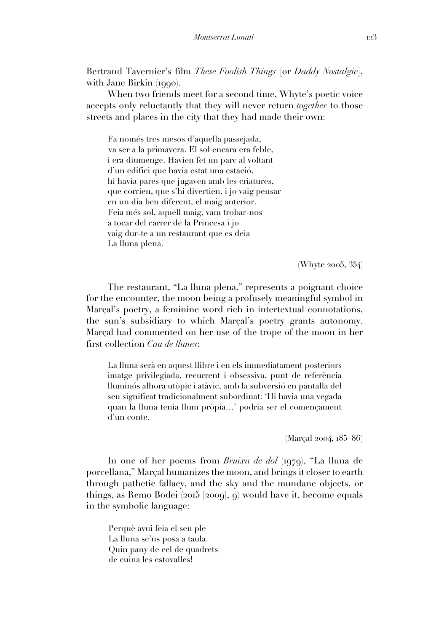Bertrand Tavernier's film *These Foolish Things* [or *Daddy Nostalgie*], with Jane Birkin (1990).

When two friends meet for a second time, Whyte's poetic voice accepts only reluctantly that they will never return *together* to those streets and places in the city that they had made their own:

Fa només tres mesos d'aquella passejada, va ser a la primavera. El sol encara era feble, i era diumenge. Havien fet un parc al voltant d'un edifici que havia estat una estació, hi havia pares que jugaven amb les criatures, que corrien, que s'hi divertien, i jo vaig pensar en un dia ben diferent, el maig anterior. Feia més sol, aquell maig, vam trobar-nos a tocar del carrer de la Princesa i jo vaig dur-te a un restaurant que es deia La lluna plena.

(Whyte 2005, 354)

The restaurant, "La lluna plena," represents a poignant choice for the encounter, the moon being a profusely meaningful symbol in Marçal's poetry, a feminine word rich in intertextual connotations, the sun's subsidiary to which Marçal's poetry grants autonomy. Marçal had commented on her use of the trope of the moon in her first collection *Cau de llunes*:

La lluna serà en aquest llibre i en els immediatament posteriors imatge privilegiada, recurrent i obsessiva, punt de referència lluminós alhora utòpic i atàvic, amb la subversió en pantalla del seu significat tradicionalment subordinat: 'Hi havia una vegada quan la lluna tenia llum pròpia…' podria ser el començament d'un conte.

(Marçal 2004, 185–86)

In one of her poems from *Bruixa de dol* (1979), "La lluna de porcellana," Marçal humanizes the moon, and brings it closer to earth through pathetic fallacy, and the sky and the mundane objects, or things, as Remo Bodei (2015 [2009], 9) would have it, become equals in the symbolic language:

Perquè avui feia el seu ple La lluna se'ns posa a taula. Quin pany de cel de quadrets de cuina les estovalles!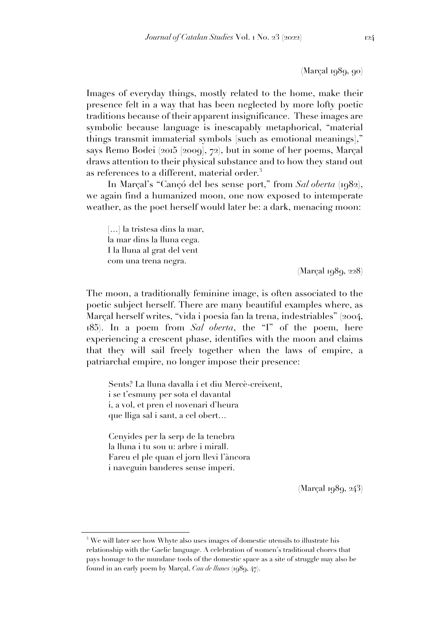(Marçal 1989, 90)

Images of everyday things, mostly related to the home, make their presence felt in a way that has been neglected by more lofty poetic traditions because of their apparent insignificance. These images are symbolic because language is inescapably metaphorical, "material things transmit immaterial symbols [such as emotional meanings]," says Remo Bodei (2015 [2009], 72), but in some of her poems, Marçal draws attention to their physical substance and to how they stand out as references to a different, material order.<sup>3</sup>

In Marçal's "Cançó del bes sense port," from *Sal oberta* (1982), we again find a humanized moon, one now exposed to intemperate weather, as the poet herself would later be: a dark, menacing moon:

[...] la tristesa dins la mar, la mar dins la lluna cega. I la lluna al grat del vent com una trena negra.

(Marçal 1989, 228)

The moon, a traditionally feminine image, is often associated to the poetic subject herself. There are many beautiful examples where, as Marçal herself writes, "vida i poesia fan la trena, indestriables" (2004, 185). In a poem from *Sal oberta*, the "I" of the poem, here experiencing a crescent phase, identifies with the moon and claims that they will sail freely together when the laws of empire, a patriarchal empire, no longer impose their presence:

Sents? La lluna davalla i et diu Mercè-creixent, i se t'esmuny per sota el davantal i, a vol, et pren el novenari d'heura que lliga sal i sant, a cel obert…

Cenyides per la serp de la tenebra la lluna i tu sou u: arbre i mirall. Fareu el ple quan el jorn llevi l'àncora i naveguin banderes sense imperi.

(Marçal 1989, 243)

<sup>&</sup>lt;sup>3</sup> We will later see how Whyte also uses images of domestic utensils to illustrate his relationship with the Gaelic language. A celebration of women's traditional chores that pays homage to the mundane tools of the domestic space as a site of struggle may also be found in an early poem by Marçal, *Cau de llunes* (1989, 47).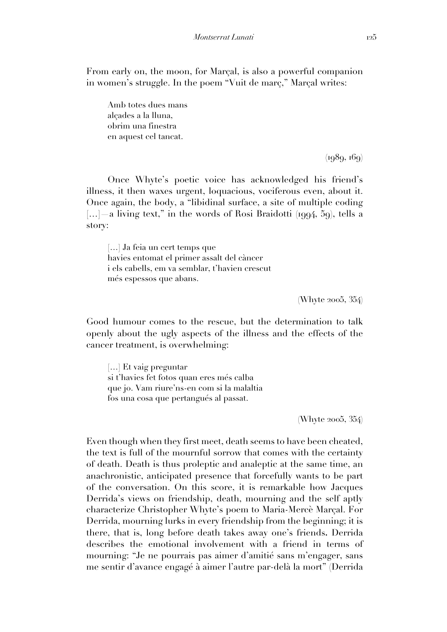From early on, the moon, for Marçal, is also a powerful companion in women's struggle. In the poem "Vuit de març," Marçal writes:

Amb totes dues mans alçades a la lluna, obrim una finestra en aquest cel tancat.

 $(1989, 169)$ 

Once Whyte's poetic voice has acknowledged his friend's illness, it then waxes urgent, loquacious, vociferous even, about it. Once again, the body, a "libidinal surface, a site of multiple coding [...] a living text," in the words of Rosi Braidotti (1994, 59), tells a story:

[…] Ja feia un cert temps que havies entomat el primer assalt del càncer i els cabells, em va semblar, t'havien crescut més espessos que abans.

(Whyte 2005, 354)

Good humour comes to the rescue, but the determination to talk openly about the ugly aspects of the illness and the effects of the cancer treatment, is overwhelming:

[...] Et vaig preguntar si t'havies fet fotos quan eres més calba que jo. Vam riure'ns-en com si la malaltia fos una cosa que pertangués al passat.

(Whyte 2005, 354)

Even though when they first meet, death seems to have been cheated, the text is full of the mournful sorrow that comes with the certainty of death. Death is thus proleptic and analeptic at the same time, an anachronistic, anticipated presence that forcefully wants to be part of the conversation. On this score, it is remarkable how Jacques Derrida's views on friendship, death, mourning and the self aptly characterize Christopher Whyte's poem to Maria-Mercè Marçal. For Derrida, mourning lurks in every friendship from the beginning; it is there, that is, long before death takes away one's friends**.** Derrida describes the emotional involvement with a friend in terms of mourning: "Je ne pourrais pas aimer d'amitié sans m'engager, sans me sentir d'avance engagé à aimer l'autre par-delà la mort" (Derrida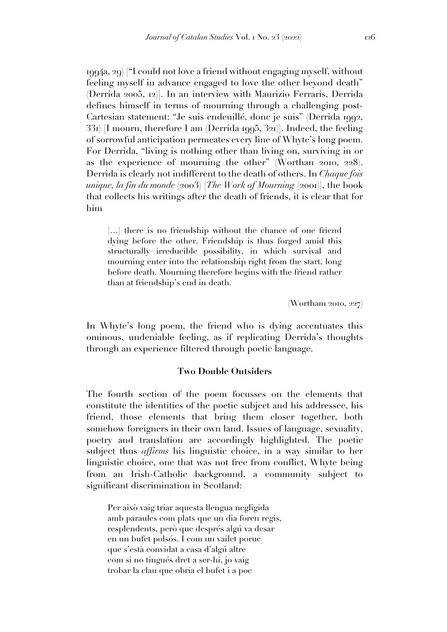1994a, 29) ["I could not love a friend without engaging myself, without feeling myself in advance engaged to love the other beyond death" (Derrida 2005, 12)]. In an interview with Maurizio Ferraris, Derrida defines himself in terms of mourning through a challenging post-Cartesian statement: "Je suis endeuillé, donc je suis" (Derrida 1992, 331) [I mourn, therefore I am (Derrida 1995, 321)]. Indeed, the feeling of sorrowful anticipation permeates every line of Whyte's long poem. For Derrida, "living is nothing other than living on, surviving in or as the experience of mourning the other" (Worthan 2010, 228). Derrida is clearly not indifferent to the death of others. In *Chaque fois unique, la fin du monde* (2003) [*The Work of Mourning* (2001)], the book that collects his writings after the death of friends, it is clear that for him

[...] there is no friendship without the chance of one friend dying before the other. Friendship is thus forged amid this structurally irreducible possibility, in which survival and mourning enter into the relationship right from the start, long before death. Mourning therefore begins with the friend rather than at friendship's end in death.

(Wortham 2010, 227)

In Whyte's long poem, the friend who is dying accentuates this ominous, undeniable feeling, as if replicating Derrida's thoughts through an experience filtered through poetic language.

### **Two Double Outsiders**

The fourth section of the poem focusses on the elements that constitute the identities of the poetic subject and his addressee, his friend, those elements that bring them closer together, both somehow foreigners in their own land. Issues of language, sexuality, poetry and translation are accordingly highlighted. The poetic subject thus *affirms* his linguistic choice, in a way similar to her linguistic choice, one that was not free from conflict, Whyte being from an Irish-Catholic background, a community subject to significant discrimination in Scotland:

Per això vaig triar aquesta llengua negligida amb paraules com plats que un dia foren regis, resplendents, però que després algú va desar en un bufet polsós. I com un vailet poruc que s'està convidat a casa d'algú altre com si no tingués dret a ser-hi, jo vaig trobar la clau que obria el bufet i a poc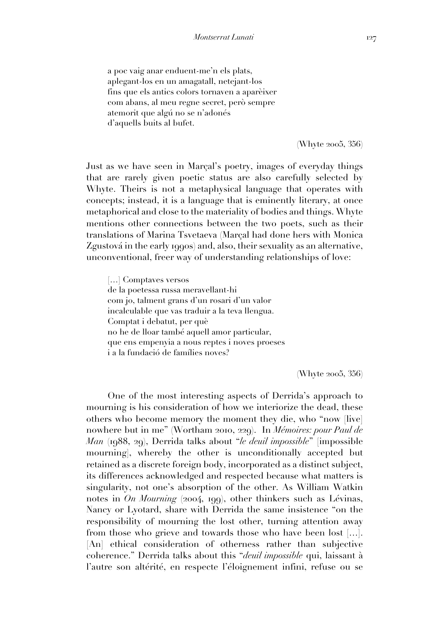a poc vaig anar enduent-me'n els plats, aplegant-los en un amagatall, netejant-los fins que els antics colors tornaven a aparèixer com abans, al meu regne secret, però sempre atemorit que algú no se n'adonés d'aquells buits al bufet.

(Whyte 2005, 356)

Just as we have seen in Marçal's poetry, images of everyday things that are rarely given poetic status are also carefully selected by Whyte. Theirs is not a metaphysical language that operates with concepts; instead, it is a language that is eminently literary, at once metaphorical and close to the materiality of bodies and things. Whyte mentions other connections between the two poets, such as their translations of Marina Tsvetaeva (Marçal had done hers with Monica Zgustová in the early 1990s) and, also, their sexuality as an alternative, unconventional, freer way of understanding relationships of love:

[...] Complayes versos de la poetessa russa meravellant-hi com jo, talment grans d'un rosari d'un valor incalculable que vas traduir a la teva llengua. Comptat i debatut, per què no he de lloar també aquell amor particular, que ens empenyia a nous reptes i noves proeses i a la fundació de famílies noves?

(Whyte 2005, 356)

One of the most interesting aspects of Derrida's approach to mourning is his consideration of how we interiorize the dead, these others who become memory the moment they die, who "now [live] nowhere but in me" (Wortham 2010, 229). In *Mémoires: pour Paul de Man* (1988, 29), Derrida talks about "*le deuil impossible*" [impossible mourning], whereby the other is unconditionally accepted but retained as a discrete foreign body, incorporated as a distinct subject, its differences acknowledged and respected because what matters is singularity, not one's absorption of the other. As William Watkin notes in *On Mourning* (2004, 199), other thinkers such as Lévinas, Nancy or Lyotard, share with Derrida the same insistence "on the responsibility of mourning the lost other, turning attention away from those who grieve and towards those who have been lost […]. [An] ethical consideration of otherness rather than subjective coherence." Derrida talks about this "*deuil impossible* qui, laissant à l'autre son altérité, en respecte l'éloignement infini, refuse ou se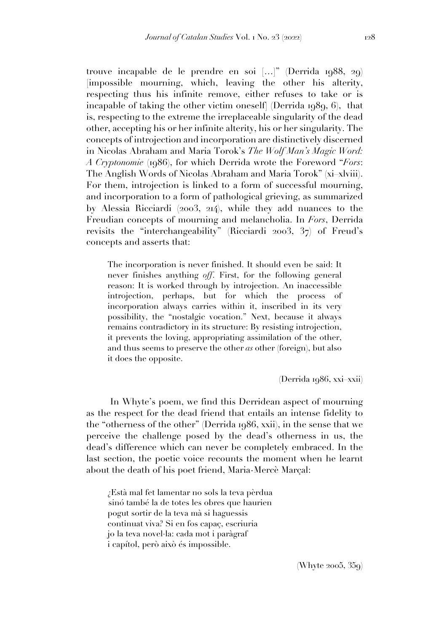trouve incapable de le prendre en soi […]" (Derrida 1988, 29) [impossible mourning, which, leaving the other his alterity, respecting thus his infinite remove, either refuses to take or is incapable of taking the other victim oneself] (Derrida 1989, 6), that is, respecting to the extreme the irreplaceable singularity of the dead other, accepting his or her infinite alterity, his or her singularity. The concepts of introjection and incorporation are distinctively discerned in Nicolas Abraham and Maria Torok's *The Wolf Man's Magic Word: A Cryptonomie* (1986), for which Derrida wrote the Foreword "*Fors*: The Anglish Words of Nicolas Abraham and Maria Torok" (xi–xlviii). For them, introjection is linked to a form of successful mourning, and incorporation to a form of pathological grieving, as summarized by Alessia Ricciardi (2003, 214), while they add nuances to the Freudian concepts of mourning and melancholia. In *Fors*, Derrida revisits the "interchangeability" (Ricciardi 2003, 37) of Freud's concepts and asserts that:

The incorporation is never finished. It should even be said: It never finishes anything *off*. First, for the following general reason: It is worked through by introjection. An inaccessible introjection, perhaps, but for which the process of incorporation always carries within it, inscribed in its very possibility, the "nostalgic vocation." Next, because it always remains contradictory in its structure: By resisting introjection, it prevents the loving, appropriating assimilation of the other, and thus seems to preserve the other *as* other (foreign), but also it does the opposite.

(Derrida 1986, xxi–xxii)

In Whyte's poem, we find this Derridean aspect of mourning as the respect for the dead friend that entails an intense fidelity to the "otherness of the other" (Derrida 1986, xxii), in the sense that we perceive the challenge posed by the dead's otherness in us, the dead's difference which can never be completely embraced. In the last section, the poetic voice recounts the moment when he learnt about the death of his poet friend, Maria-Mercè Marçal:

¿Està mal fet lamentar no sols la teva pèrdua sinó també la de totes les obres que haurien pogut sortir de la teva mà si haguessis continuat viva? Si en fos capaç, escriuria jo la teva novel·la: cada mot i paràgraf i capítol, però això és impossible.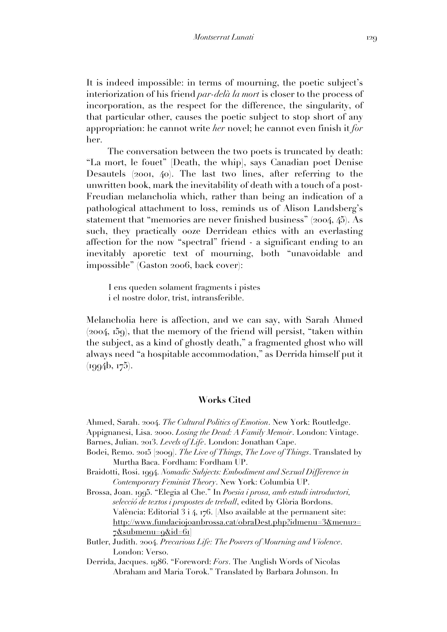It is indeed impossible: in terms of mourning, the poetic subject's interiorization of his friend *par-delà la mort* is closer to the process of incorporation, as the respect for the difference, the singularity, of that particular other, causes the poetic subject to stop short of any appropriation: he cannot write *her* novel; he cannot even finish it *for* her.

The conversation between the two poets is truncated by death: "La mort, le fouet" [Death, the whip], says Canadian poet Denise Desautels (2001, 40). The last two lines, after referring to the unwritten book, mark the inevitability of death with a touch of a post-Freudian melancholia which, rather than being an indication of a pathological attachment to loss, reminds us of Alison Landsberg's statement that "memories are never finished business" (2004, 45). As such, they practically ooze Derridean ethics with an everlasting affection for the now "spectral" friend - a significant ending to an inevitably aporetic text of mourning, both "unavoidable and impossible" (Gaston 2006, back cover):

I ens queden solament fragments i pistes i el nostre dolor, trist, intransferible.

Melancholia here is affection, and we can say, with Sarah Ahmed (2004, 159), that the memory of the friend will persist, "taken within the subject, as a kind of ghostly death," a fragmented ghost who will always need "a hospitable accommodation," as Derrida himself put it (1994b, 175).

# **Works Cited**

Ahmed, Sarah. 2004. *The Cultural Politics of Emotion*. New York: Routledge.

Appignanesi, Lisa. 2000. *Losing the Dead: A Family Memoir*. London: Vintage. Barnes, Julian. 2013. *Levels of Life*. London: Jonathan Cape.

- Bodei, Remo. 2015 [2009]. *The Live of Things, The Love of Things*. Translated by Murtha Baca. Fordham: Fordham UP.
- Braidotti, Rosi. 1994. *Nomadic Subjects: Embodiment and Sexual Difference in Contemporary Feminist Theory*. New York: Columbia UP.
- Brossa, Joan. 1995. "Elegia al Che." In *Poesia i prosa, amb estudi introductori, selecció de textos i propostes de treball*, edited by Glòria Bordons. València: Editorial 3 i 4, 176. [Also available at the permanent site: http://www.fundaciojoanbrossa.cat/obraDest.php?idmenu=3&menu2=  $7&\text{submenu}=9&\text{did}=61$
- Butler, Judith. 2004. *Precarious Life: The Powers of Mourning and Violence*. London: Verso.

Derrida, Jacques. 1986. "Foreword: *Fors*. The Anglish Words of Nicolas Abraham and Maria Torok." Translated by Barbara Johnson. In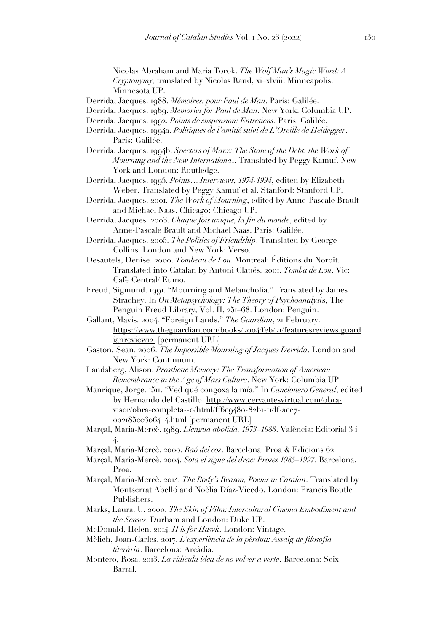Nicolas Abraham and Maria Torok. *The Wolf Man's Magic Word: A Cryptonymy,* translated by Nicolas Rand, xi–xlviii. Minneapolis: Minnesota UP.

- Derrida, Jacques. 1988. *Mémoires: pour Paul de Man*. Paris: Galilée.
- Derrida, Jacques. 1989. *Memories for Paul de Man*. New York: Columbia UP.
- Derrida, Jacques. 1992. *Points de suspension: Entretiens*. Paris: Galilée.
- Derrida, Jacques. 1994a. *Politiques de l'amitié suivi de L'Oreille de Heidegger*. Paris: Galilée.
- Derrida, Jacques. 1994b. *Specters of Marx: The State of the Debt, the Work of Mourning and the New Internationa*l. Translated by Peggy Kamuf. New York and London: Routledge.
- Derrida, Jacques. 1995. *Points… Interviews, 1974-1994*, edited by Elizabeth Weber. Translated by Peggy Kamuf et al. Stanford: Stanford UP.
- Derrida, Jacques. 2001. *The Work of Mourning*, edited by Anne-Pascale Brault and Michael Naas. Chicago: Chicago UP.
- Derrida, Jacques. 2003. *Chaque fois unique, la fin du monde*, edited by Anne-Pascale Brault and Michael Naas. Paris: Galilée.
- Derrida, Jacques. 2005. *The Politics of Friendship*. Translated by George Collins. London and New York: Verso.
- Desautels, Denise. 2000. *Tombeau de Lou*. Montreal: Éditions du Noroît. Translated into Catalan by Antoni Clapés. 2001. *Tomba de Lou*. Vic: Cafè Central/ Eumo.
- Freud, Sigmund. 1991. "Mourning and Melancholia." Translated by James Strachey. In *On Metapsychology: The Theory of Psychoanalysi*s, The Penguin Freud Library, Vol. II, 251–68. London: Penguin.
- Gallant, Mavis. 2004. "Foreign Lands." *The Guardian*, 21 February. https://www.theguardian.com/books/2004/feb/21/featuresreviews.guard ianreview12 [permanent URL]
- Gaston, Sean. 2006. *The Impossible Mourning of Jacques Derrida*. London and New York: Continuum.
- Landsberg, Alison. *Prosthetic Memory: The Transformation of American Remembrance in the Age of Mass Culture*. New York: Columbia UP.
- Manrique, Jorge. 1511. "Ved qué congoxa la mía." In *Cancionero General*, edited by Hernando del Castillo. http://www.cervantesvirtual.com/obravisor/obra-completa--0/html/ff6c9480-82b1-11df-acc7- 002185ce6064\_4.html [permanent URL]
- Marçal, Maria-Mercè. 1989. *Llengua abolida, 1973–1988*. València: Editorial 3 i 4.
- Marçal, Maria-Mercè. 2000. *Raó del cos*. Barcelona: Proa & Edicions 62.
- Marçal, Maria-Mercè. 2004. *Sota el signe del drac: Proses 1985–1997*. Barcelona, Proa.
- Marçal, Maria-Mercè. 2014. *The Body's Reason, Poems in Catalan*. Translated by Montserrat Abelló and Noèlia Díaz-Vicedo. London: Francis Boutle Publishers.
- Marks, Laura. U. 2000. *The Skin of Film: Intercultural Cinema Embodiment and the Senses*. Durham and London: Duke UP.
- McDonald, Helen. 2014. *H is for Hawk*. London: Vintage.
- Mèlich, Joan-Carles. 2017. *L'experiència de la pèrdua: Assaig de filosofia literària*. Barcelona: Arcàdia.
- Montero, Rosa. 2013. *La ridícula idea de no volver a verte*. Barcelona: Seix Barral.